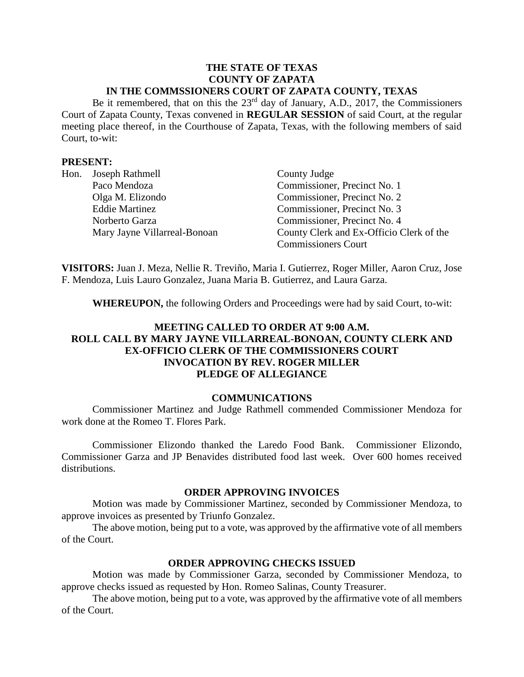#### **THE STATE OF TEXAS COUNTY OF ZAPATA IN THE COMMSSIONERS COURT OF ZAPATA COUNTY, TEXAS**

Be it remembered, that on this the  $23<sup>rd</sup>$  day of January, A.D., 2017, the Commissioners Court of Zapata County, Texas convened in **REGULAR SESSION** of said Court, at the regular meeting place thereof, in the Courthouse of Zapata, Texas, with the following members of said Court, to-wit:

#### **PRESENT:**

| Hon. | Joseph Rathmell              | County Judge                             |
|------|------------------------------|------------------------------------------|
|      | Paco Mendoza                 | Commissioner, Precinct No. 1             |
|      | Olga M. Elizondo             | Commissioner, Precinct No. 2             |
|      | <b>Eddie Martinez</b>        | Commissioner, Precinct No. 3             |
|      | Norberto Garza               | Commissioner, Precinct No. 4             |
|      | Mary Jayne Villarreal-Bonoan | County Clerk and Ex-Officio Clerk of the |
|      |                              | <b>Commissioners Court</b>               |

**VISITORS:** Juan J. Meza, Nellie R. Treviño, Maria I. Gutierrez, Roger Miller, Aaron Cruz, Jose F. Mendoza, Luis Lauro Gonzalez, Juana Maria B. Gutierrez, and Laura Garza.

**WHEREUPON,** the following Orders and Proceedings were had by said Court, to-wit:

# **MEETING CALLED TO ORDER AT 9:00 A.M. ROLL CALL BY MARY JAYNE VILLARREAL-BONOAN, COUNTY CLERK AND EX-OFFICIO CLERK OF THE COMMISSIONERS COURT INVOCATION BY REV. ROGER MILLER PLEDGE OF ALLEGIANCE**

#### **COMMUNICATIONS**

Commissioner Martinez and Judge Rathmell commended Commissioner Mendoza for work done at the Romeo T. Flores Park.

Commissioner Elizondo thanked the Laredo Food Bank. Commissioner Elizondo, Commissioner Garza and JP Benavides distributed food last week. Over 600 homes received distributions.

#### **ORDER APPROVING INVOICES**

Motion was made by Commissioner Martinez, seconded by Commissioner Mendoza, to approve invoices as presented by Triunfo Gonzalez.

The above motion, being put to a vote, was approved by the affirmative vote of all members of the Court.

#### **ORDER APPROVING CHECKS ISSUED**

Motion was made by Commissioner Garza, seconded by Commissioner Mendoza, to approve checks issued as requested by Hon. Romeo Salinas, County Treasurer.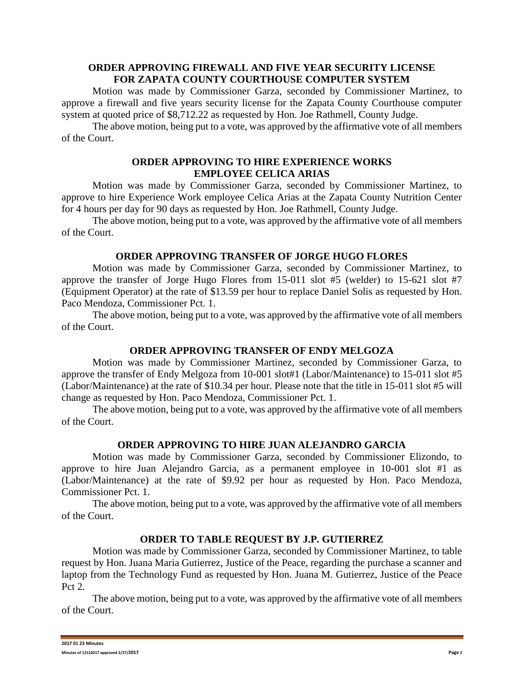### **ORDER APPROVING FIREWALL AND FIVE YEAR SECURITY LICENSE FOR ZAPATA COUNTY COURTHOUSE COMPUTER SYSTEM**

Motion was made by Commissioner Garza, seconded by Commissioner Martinez, to approve a firewall and five years security license for the Zapata County Courthouse computer system at quoted price of \$8,712.22 as requested by Hon. Joe Rathmell, County Judge.

The above motion, being put to a vote, was approved by the affirmative vote of all members of the Court.

## **ORDER APPROVING TO HIRE EXPERIENCE WORKS EMPLOYEE CELICA ARIAS**

Motion was made by Commissioner Garza, seconded by Commissioner Martinez, to approve to hire Experience Work employee Celica Arias at the Zapata County Nutrition Center for 4 hours per day for 90 days as requested by Hon. Joe Rathmell, County Judge.

The above motion, being put to a vote, was approved by the affirmative vote of all members of the Court.

### **ORDER APPROVING TRANSFER OF JORGE HUGO FLORES**

Motion was made by Commissioner Garza, seconded by Commissioner Martinez, to approve the transfer of Jorge Hugo Flores from 15-011 slot #5 (welder) to 15-621 slot #7 (Equipment Operator) at the rate of \$13.59 per hour to replace Daniel Solis as requested by Hon. Paco Mendoza, Commissioner Pct. 1.

The above motion, being put to a vote, was approved by the affirmative vote of all members of the Court.

# **ORDER APPROVING TRANSFER OF ENDY MELGOZA**

Motion was made by Commissioner Martinez, seconded by Commissioner Garza, to approve the transfer of Endy Melgoza from 10-001 slot#1 (Labor/Maintenance) to 15-011 slot #5 (Labor/Maintenance) at the rate of \$10.34 per hour. Please note that the title in 15-011 slot #5 will change as requested by Hon. Paco Mendoza, Commissioner Pct. 1.

The above motion, being put to a vote, was approved by the affirmative vote of all members of the Court.

# **ORDER APPROVING TO HIRE JUAN ALEJANDRO GARCIA**

Motion was made by Commissioner Garza, seconded by Commissioner Elizondo, to approve to hire Juan Alejandro Garcia, as a permanent employee in 10-001 slot #1 as (Labor/Maintenance) at the rate of \$9.92 per hour as requested by Hon. Paco Mendoza, Commissioner Pct. 1.

The above motion, being put to a vote, was approved by the affirmative vote of all members of the Court.

### **ORDER TO TABLE REQUEST BY J.P. GUTIERREZ**

Motion was made by Commissioner Garza, seconded by Commissioner Martinez, to table request by Hon. Juana Maria Gutierrez, Justice of the Peace, regarding the purchase a scanner and laptop from the Technology Fund as requested by Hon. Juana M. Gutierrez, Justice of the Peace Pct 2.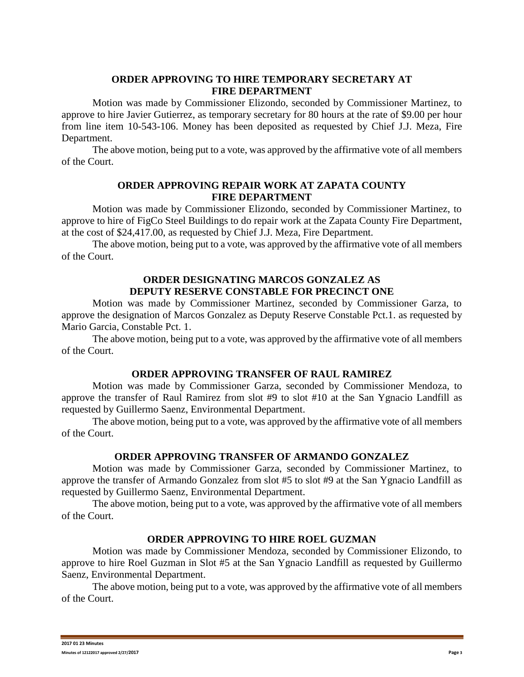# **ORDER APPROVING TO HIRE TEMPORARY SECRETARY AT FIRE DEPARTMENT**

Motion was made by Commissioner Elizondo, seconded by Commissioner Martinez, to approve to hire Javier Gutierrez, as temporary secretary for 80 hours at the rate of \$9.00 per hour from line item 10-543-106. Money has been deposited as requested by Chief J.J. Meza, Fire Department.

The above motion, being put to a vote, was approved by the affirmative vote of all members of the Court.

### **ORDER APPROVING REPAIR WORK AT ZAPATA COUNTY FIRE DEPARTMENT**

Motion was made by Commissioner Elizondo, seconded by Commissioner Martinez, to approve to hire of FigCo Steel Buildings to do repair work at the Zapata County Fire Department, at the cost of \$24,417.00, as requested by Chief J.J. Meza, Fire Department.

The above motion, being put to a vote, was approved by the affirmative vote of all members of the Court.

#### **ORDER DESIGNATING MARCOS GONZALEZ AS DEPUTY RESERVE CONSTABLE FOR PRECINCT ONE**

Motion was made by Commissioner Martinez, seconded by Commissioner Garza, to approve the designation of Marcos Gonzalez as Deputy Reserve Constable Pct.1. as requested by Mario Garcia, Constable Pct. 1.

The above motion, being put to a vote, was approved by the affirmative vote of all members of the Court.

### **ORDER APPROVING TRANSFER OF RAUL RAMIREZ**

Motion was made by Commissioner Garza, seconded by Commissioner Mendoza, to approve the transfer of Raul Ramirez from slot #9 to slot #10 at the San Ygnacio Landfill as requested by Guillermo Saenz, Environmental Department.

The above motion, being put to a vote, was approved by the affirmative vote of all members of the Court.

### **ORDER APPROVING TRANSFER OF ARMANDO GONZALEZ**

Motion was made by Commissioner Garza, seconded by Commissioner Martinez, to approve the transfer of Armando Gonzalez from slot #5 to slot #9 at the San Ygnacio Landfill as requested by Guillermo Saenz, Environmental Department.

The above motion, being put to a vote, was approved by the affirmative vote of all members of the Court.

# **ORDER APPROVING TO HIRE ROEL GUZMAN**

Motion was made by Commissioner Mendoza, seconded by Commissioner Elizondo, to approve to hire Roel Guzman in Slot #5 at the San Ygnacio Landfill as requested by Guillermo Saenz, Environmental Department.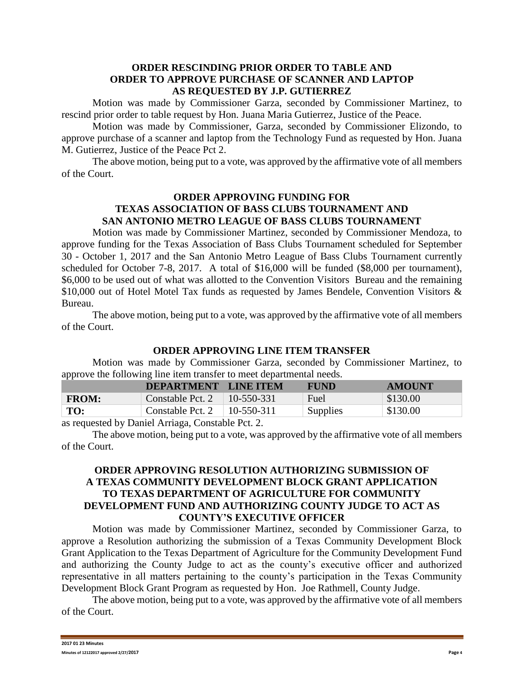### **ORDER RESCINDING PRIOR ORDER TO TABLE AND ORDER TO APPROVE PURCHASE OF SCANNER AND LAPTOP AS REQUESTED BY J.P. GUTIERREZ**

Motion was made by Commissioner Garza, seconded by Commissioner Martinez, to rescind prior order to table request by Hon. Juana Maria Gutierrez, Justice of the Peace.

Motion was made by Commissioner, Garza, seconded by Commissioner Elizondo, to approve purchase of a scanner and laptop from the Technology Fund as requested by Hon. Juana M. Gutierrez, Justice of the Peace Pct 2.

The above motion, being put to a vote, was approved by the affirmative vote of all members of the Court.

# **ORDER APPROVING FUNDING FOR TEXAS ASSOCIATION OF BASS CLUBS TOURNAMENT AND SAN ANTONIO METRO LEAGUE OF BASS CLUBS TOURNAMENT**

Motion was made by Commissioner Martinez, seconded by Commissioner Mendoza, to approve funding for the Texas Association of Bass Clubs Tournament scheduled for September 30 - October 1, 2017 and the San Antonio Metro League of Bass Clubs Tournament currently scheduled for October 7-8, 2017. A total of \$16,000 will be funded (\$8,000 per tournament), \$6,000 to be used out of what was allotted to the Convention Visitors Bureau and the remaining \$10,000 out of Hotel Motel Tax funds as requested by James Bendele, Convention Visitors & Bureau.

The above motion, being put to a vote, was approved by the affirmative vote of all members of the Court.

### **ORDER APPROVING LINE ITEM TRANSFER**

Motion was made by Commissioner Garza, seconded by Commissioner Martinez, to approve the following line item transfer to meet departmental needs.

|              | DEPARTMENT LINE ITEM |              | <b>FUND</b> | <b>AMOUNT</b>          |  |  |
|--------------|----------------------|--------------|-------------|------------------------|--|--|
| <b>FROM:</b> | Constable Pct. 2     | $10-550-331$ | Fuel        | $\frac{1}{2}$ \$130.00 |  |  |
| TO:          | Constable Pct. 2     | $10-550-311$ | Supplies    | \$130.00               |  |  |
|              |                      |              |             |                        |  |  |

as requested by Daniel Arriaga, Constable Pct. 2.

The above motion, being put to a vote, was approved by the affirmative vote of all members of the Court.

# **ORDER APPROVING RESOLUTION AUTHORIZING SUBMISSION OF A TEXAS COMMUNITY DEVELOPMENT BLOCK GRANT APPLICATION TO TEXAS DEPARTMENT OF AGRICULTURE FOR COMMUNITY DEVELOPMENT FUND AND AUTHORIZING COUNTY JUDGE TO ACT AS COUNTY'S EXECUTIVE OFFICER**

Motion was made by Commissioner Martinez, seconded by Commissioner Garza, to approve a Resolution authorizing the submission of a Texas Community Development Block Grant Application to the Texas Department of Agriculture for the Community Development Fund and authorizing the County Judge to act as the county's executive officer and authorized representative in all matters pertaining to the county's participation in the Texas Community Development Block Grant Program as requested by Hon. Joe Rathmell, County Judge.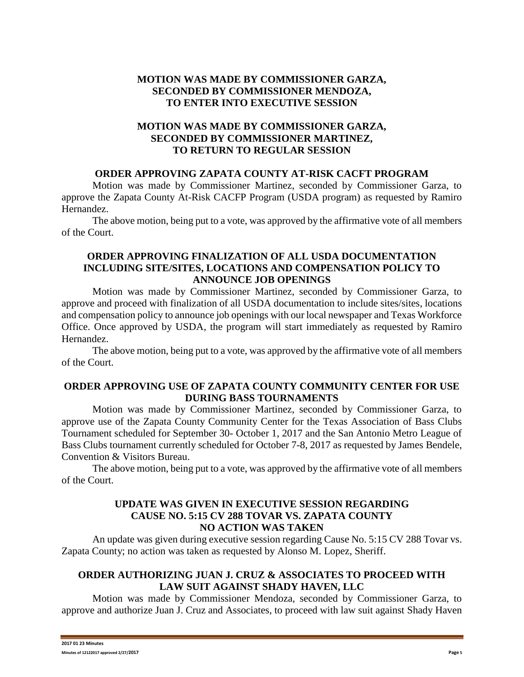# **MOTION WAS MADE BY COMMISSIONER GARZA, SECONDED BY COMMISSIONER MENDOZA, TO ENTER INTO EXECUTIVE SESSION**

# **MOTION WAS MADE BY COMMISSIONER GARZA, SECONDED BY COMMISSIONER MARTINEZ, TO RETURN TO REGULAR SESSION**

### **ORDER APPROVING ZAPATA COUNTY AT-RISK CACFT PROGRAM**

Motion was made by Commissioner Martinez, seconded by Commissioner Garza, to approve the Zapata County At-Risk CACFP Program (USDA program) as requested by Ramiro Hernandez.

The above motion, being put to a vote, was approved by the affirmative vote of all members of the Court.

### **ORDER APPROVING FINALIZATION OF ALL USDA DOCUMENTATION INCLUDING SITE/SITES, LOCATIONS AND COMPENSATION POLICY TO ANNOUNCE JOB OPENINGS**

Motion was made by Commissioner Martinez, seconded by Commissioner Garza, to approve and proceed with finalization of all USDA documentation to include sites/sites, locations and compensation policy to announce job openings with our local newspaper and Texas Workforce Office. Once approved by USDA, the program will start immediately as requested by Ramiro Hernandez.

The above motion, being put to a vote, was approved by the affirmative vote of all members of the Court.

## **ORDER APPROVING USE OF ZAPATA COUNTY COMMUNITY CENTER FOR USE DURING BASS TOURNAMENTS**

Motion was made by Commissioner Martinez, seconded by Commissioner Garza, to approve use of the Zapata County Community Center for the Texas Association of Bass Clubs Tournament scheduled for September 30- October 1, 2017 and the San Antonio Metro League of Bass Clubs tournament currently scheduled for October 7-8, 2017 as requested by James Bendele, Convention & Visitors Bureau.

The above motion, being put to a vote, was approved by the affirmative vote of all members of the Court.

## **UPDATE WAS GIVEN IN EXECUTIVE SESSION REGARDING CAUSE NO. 5:15 CV 288 TOVAR VS. ZAPATA COUNTY NO ACTION WAS TAKEN**

An update was given during executive session regarding Cause No. 5:15 CV 288 Tovar vs. Zapata County; no action was taken as requested by Alonso M. Lopez, Sheriff.

## **ORDER AUTHORIZING JUAN J. CRUZ & ASSOCIATES TO PROCEED WITH LAW SUIT AGAINST SHADY HAVEN, LLC**

Motion was made by Commissioner Mendoza, seconded by Commissioner Garza, to approve and authorize Juan J. Cruz and Associates, to proceed with law suit against Shady Haven